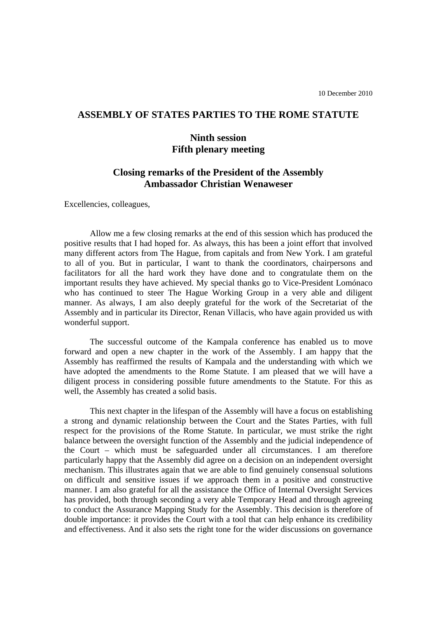## **ASSEMBLY OF STATES PARTIES TO THE ROME STATUTE**

## **Ninth session Fifth plenary meeting**

## **Closing remarks of the President of the Assembly Ambassador Christian Wenaweser**

Excellencies, colleagues,

Allow me a few closing remarks at the end of this session which has produced the positive results that I had hoped for. As always, this has been a joint effort that involved many different actors from The Hague, from capitals and from New York. I am grateful to all of you. But in particular, I want to thank the coordinators, chairpersons and facilitators for all the hard work they have done and to congratulate them on the important results they have achieved. My special thanks go to Vice-President Lomónaco who has continued to steer The Hague Working Group in a very able and diligent manner. As always, I am also deeply grateful for the work of the Secretariat of the Assembly and in particular its Director, Renan Villacis, who have again provided us with wonderful support.

The successful outcome of the Kampala conference has enabled us to move forward and open a new chapter in the work of the Assembly. I am happy that the Assembly has reaffirmed the results of Kampala and the understanding with which we have adopted the amendments to the Rome Statute. I am pleased that we will have a diligent process in considering possible future amendments to the Statute. For this as well, the Assembly has created a solid basis.

This next chapter in the lifespan of the Assembly will have a focus on establishing a strong and dynamic relationship between the Court and the States Parties, with full respect for the provisions of the Rome Statute. In particular, we must strike the right balance between the oversight function of the Assembly and the judicial independence of the Court – which must be safeguarded under all circumstances. I am therefore particularly happy that the Assembly did agree on a decision on an independent oversight mechanism. This illustrates again that we are able to find genuinely consensual solutions on difficult and sensitive issues if we approach them in a positive and constructive manner. I am also grateful for all the assistance the Office of Internal Oversight Services has provided, both through seconding a very able Temporary Head and through agreeing to conduct the Assurance Mapping Study for the Assembly. This decision is therefore of double importance: it provides the Court with a tool that can help enhance its credibility and effectiveness. And it also sets the right tone for the wider discussions on governance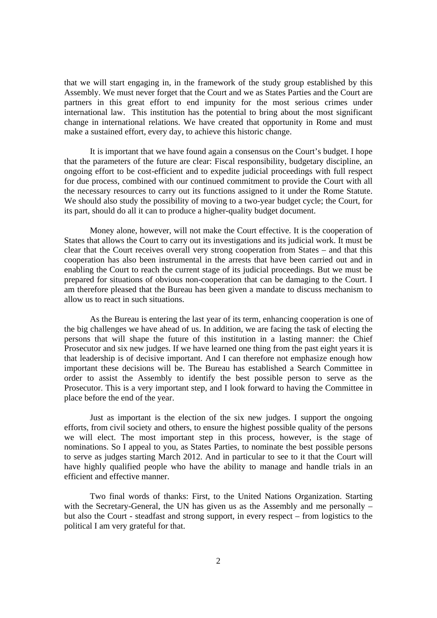that we will start engaging in, in the framework of the study group established by this Assembly. We must never forget that the Court and we as States Parties and the Court are partners in this great effort to end impunity for the most serious crimes under international law. This institution has the potential to bring about the most significant change in international relations. We have created that opportunity in Rome and must make a sustained effort, every day, to achieve this historic change.

It is important that we have found again a consensus on the Court's budget. I hope that the parameters of the future are clear: Fiscal responsibility, budgetary discipline, an ongoing effort to be cost-efficient and to expedite judicial proceedings with full respect for due process, combined with our continued commitment to provide the Court with all the necessary resources to carry out its functions assigned to it under the Rome Statute. We should also study the possibility of moving to a two-year budget cycle; the Court, for its part, should do all it can to produce a higher-quality budget document.

Money alone, however, will not make the Court effective. It is the cooperation of States that allows the Court to carry out its investigations and its judicial work. It must be clear that the Court receives overall very strong cooperation from States – and that this cooperation has also been instrumental in the arrests that have been carried out and in enabling the Court to reach the current stage of its judicial proceedings. But we must be prepared for situations of obvious non-cooperation that can be damaging to the Court. I am therefore pleased that the Bureau has been given a mandate to discuss mechanism to allow us to react in such situations.

As the Bureau is entering the last year of its term, enhancing cooperation is one of the big challenges we have ahead of us. In addition, we are facing the task of electing the persons that will shape the future of this institution in a lasting manner: the Chief Prosecutor and six new judges. If we have learned one thing from the past eight years it is that leadership is of decisive important. And I can therefore not emphasize enough how important these decisions will be. The Bureau has established a Search Committee in order to assist the Assembly to identify the best possible person to serve as the Prosecutor. This is a very important step, and I look forward to having the Committee in place before the end of the year.

Just as important is the election of the six new judges. I support the ongoing efforts, from civil society and others, to ensure the highest possible quality of the persons we will elect. The most important step in this process, however, is the stage of nominations. So I appeal to you, as States Parties, to nominate the best possible persons to serve as judges starting March 2012. And in particular to see to it that the Court will have highly qualified people who have the ability to manage and handle trials in an efficient and effective manner.

Two final words of thanks: First, to the United Nations Organization. Starting with the Secretary-General, the UN has given us as the Assembly and me personally – but also the Court - steadfast and strong support, in every respect – from logistics to the political I am very grateful for that.